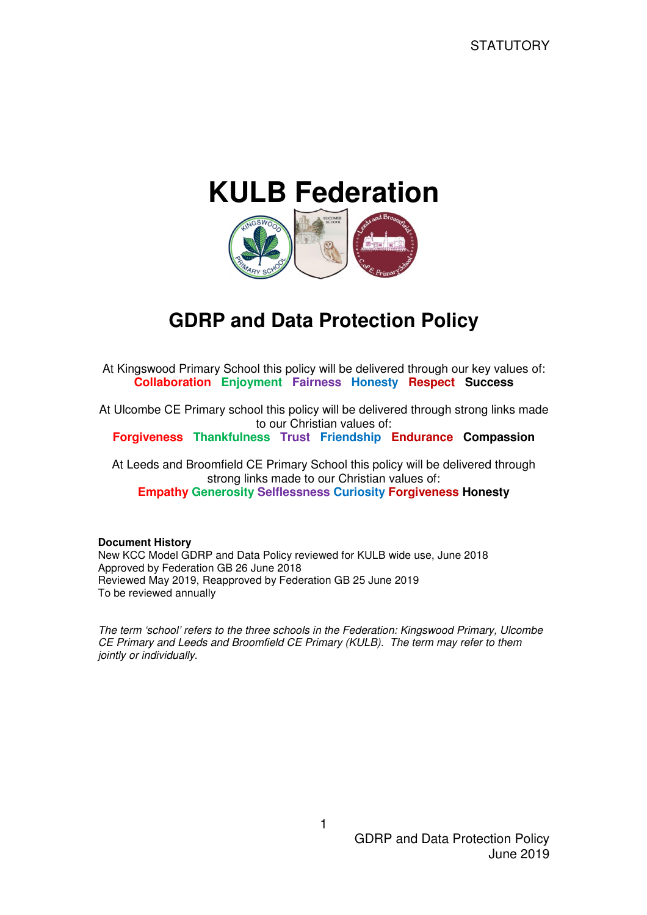# **KULB Federation**



# **GDRP and Data Protection Policy**

At Kingswood Primary School this policy will be delivered through our key values of: **Collaboration Enjoyment Fairness Honesty Respect Success** 

At Ulcombe CE Primary school this policy will be delivered through strong links made to our Christian values of:

**Forgiveness Thankfulness Trust Friendship Endurance Compassion** 

At Leeds and Broomfield CE Primary School this policy will be delivered through strong links made to our Christian values of: **Empathy Generosity Selflessness Curiosity Forgiveness Honesty** 

#### **Document History**

New KCC Model GDRP and Data Policy reviewed for KULB wide use, June 2018 Approved by Federation GB 26 June 2018 Reviewed May 2019, Reapproved by Federation GB 25 June 2019 To be reviewed annually

The term 'school' refers to the three schools in the Federation: Kingswood Primary, Ulcombe CE Primary and Leeds and Broomfield CE Primary (KULB). The term may refer to them jointly or individually.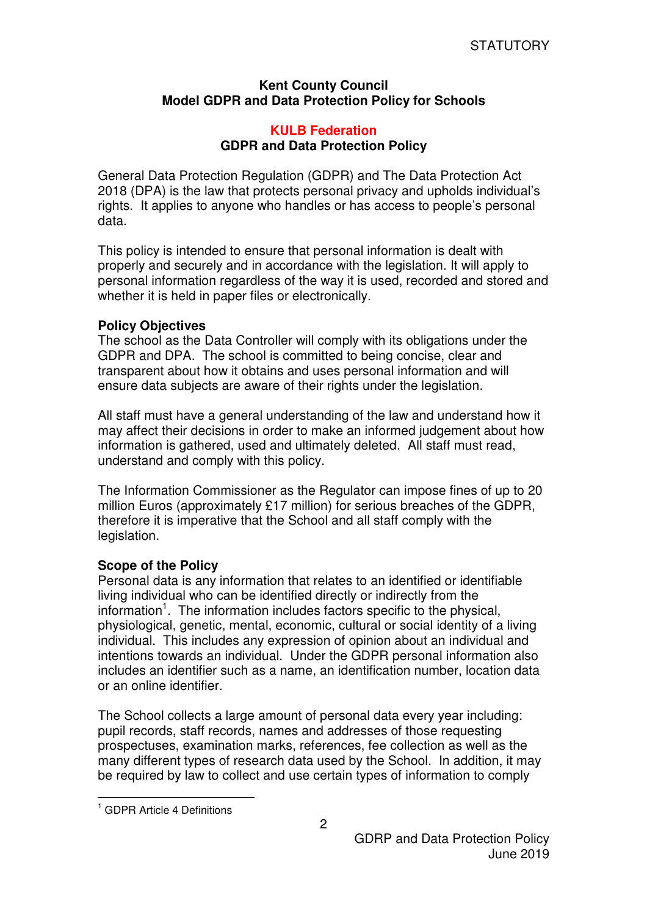# **Kent County Council Model GDPR and Data Protection Policy for Schools**

# **KULB Federation GDPR and Data Protection Policy**

General Data Protection Regulation (GDPR) and The Data Protection Act 2018 (DPA) is the law that protects personal privacy and upholds individual's rights. It applies to anyone who handles or has access to people's personal data.

This policy is intended to ensure that personal information is dealt with properly and securely and in accordance with the legislation. It will apply to personal information regardless of the way it is used, recorded and stored and whether it is held in paper files or electronically.

### **Policy Objectives**

The school as the Data Controller will comply with its obligations under the GDPR and DPA. The school is committed to being concise, clear and transparent about how it obtains and uses personal information and will ensure data subjects are aware of their rights under the legislation.

All staff must have a general understanding of the law and understand how it may affect their decisions in order to make an informed judgement about how information is gathered, used and ultimately deleted. All staff must read, understand and comply with this policy.

The Information Commissioner as the Regulator can impose fines of up to 20 million Euros (approximately £17 million) for serious breaches of the GDPR, therefore it is imperative that the School and all staff comply with the legislation.

# **Scope of the Policy**

Personal data is any information that relates to an identified or identifiable living individual who can be identified directly or indirectly from the information<sup>1</sup>. The information includes factors specific to the physical, physiological, genetic, mental, economic, cultural or social identity of a living individual. This includes any expression of opinion about an individual and intentions towards an individual. Under the GDPR personal information also includes an identifier such as a name, an identification number, location data or an online identifier.

The School collects a large amount of personal data every year including: pupil records, staff records, names and addresses of those requesting prospectuses, examination marks, references, fee collection as well as the many different types of research data used by the School. In addition, it may be required by law to collect and use certain types of information to comply

 $\overline{a}$ 

<sup>&</sup>lt;sup>1</sup> GDPR Article 4 Definitions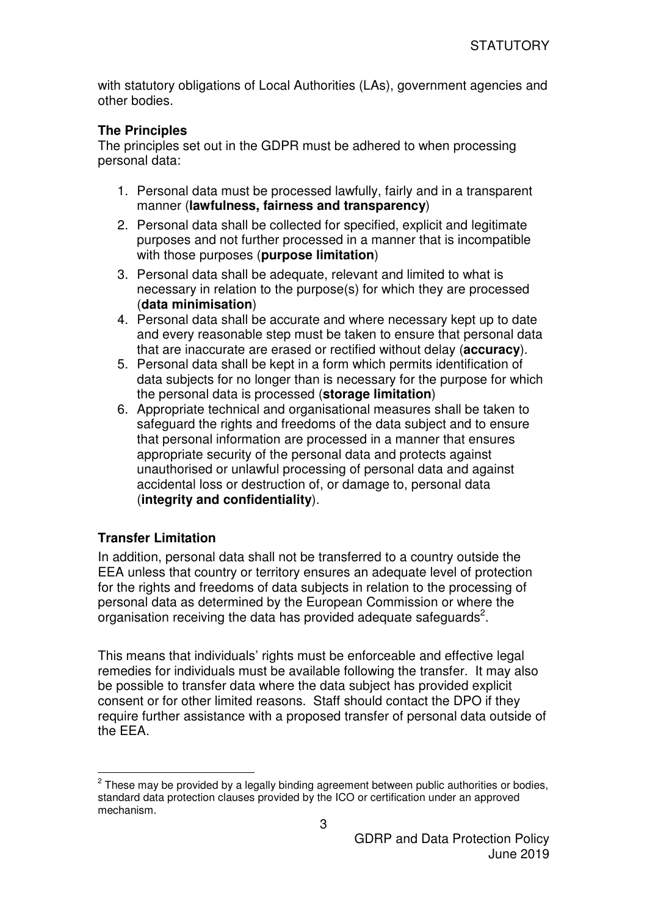with statutory obligations of Local Authorities (LAs), government agencies and other bodies.

# **The Principles**

The principles set out in the GDPR must be adhered to when processing personal data:

- 1. Personal data must be processed lawfully, fairly and in a transparent manner (**lawfulness, fairness and transparency**)
- 2. Personal data shall be collected for specified, explicit and legitimate purposes and not further processed in a manner that is incompatible with those purposes (**purpose limitation**)
- 3. Personal data shall be adequate, relevant and limited to what is necessary in relation to the purpose(s) for which they are processed (**data minimisation**)
- 4. Personal data shall be accurate and where necessary kept up to date and every reasonable step must be taken to ensure that personal data that are inaccurate are erased or rectified without delay (**accuracy**).
- 5. Personal data shall be kept in a form which permits identification of data subjects for no longer than is necessary for the purpose for which the personal data is processed (**storage limitation**)
- 6. Appropriate technical and organisational measures shall be taken to safeguard the rights and freedoms of the data subject and to ensure that personal information are processed in a manner that ensures appropriate security of the personal data and protects against unauthorised or unlawful processing of personal data and against accidental loss or destruction of, or damage to, personal data (**integrity and confidentiality**).

# **Transfer Limitation**

 $\overline{a}$ 

In addition, personal data shall not be transferred to a country outside the EEA unless that country or territory ensures an adequate level of protection for the rights and freedoms of data subjects in relation to the processing of personal data as determined by the European Commission or where the organisation receiving the data has provided adequate safeguards<sup>2</sup>.

This means that individuals' rights must be enforceable and effective legal remedies for individuals must be available following the transfer. It may also be possible to transfer data where the data subject has provided explicit consent or for other limited reasons. Staff should contact the DPO if they require further assistance with a proposed transfer of personal data outside of the EEA.

 $2$  These may be provided by a legally binding agreement between public authorities or bodies, standard data protection clauses provided by the ICO or certification under an approved mechanism.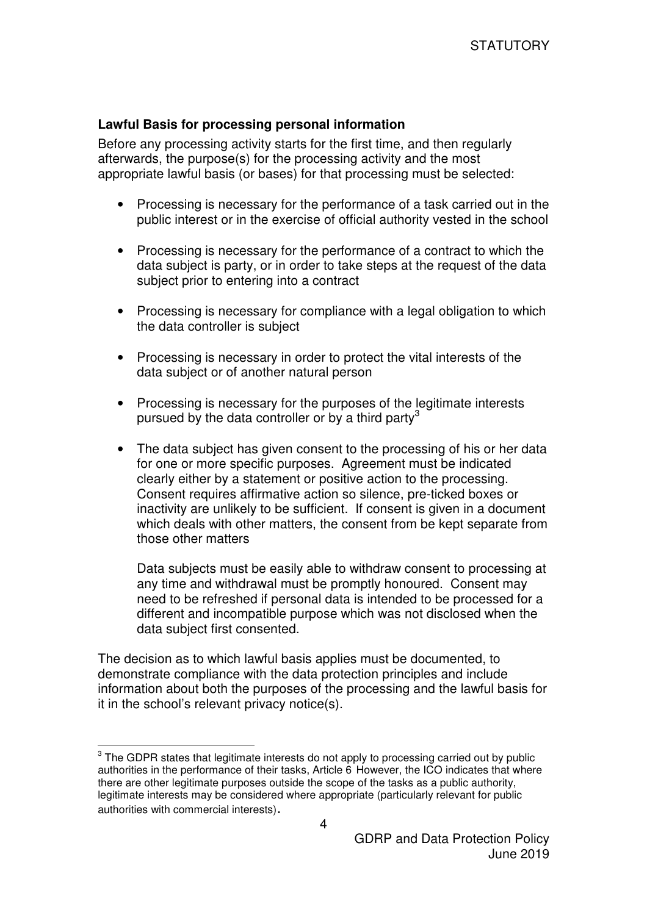#### **Lawful Basis for processing personal information**

Before any processing activity starts for the first time, and then regularly afterwards, the purpose(s) for the processing activity and the most appropriate lawful basis (or bases) for that processing must be selected:

- Processing is necessary for the performance of a task carried out in the public interest or in the exercise of official authority vested in the school
- Processing is necessary for the performance of a contract to which the data subject is party, or in order to take steps at the request of the data subject prior to entering into a contract
- Processing is necessary for compliance with a legal obligation to which the data controller is subject
- Processing is necessary in order to protect the vital interests of the data subject or of another natural person
- Processing is necessary for the purposes of the legitimate interests pursued by the data controller or by a third party<sup>3</sup>
- The data subject has given consent to the processing of his or her data for one or more specific purposes. Agreement must be indicated clearly either by a statement or positive action to the processing. Consent requires affirmative action so silence, pre-ticked boxes or inactivity are unlikely to be sufficient. If consent is given in a document which deals with other matters, the consent from be kept separate from those other matters

Data subjects must be easily able to withdraw consent to processing at any time and withdrawal must be promptly honoured. Consent may need to be refreshed if personal data is intended to be processed for a different and incompatible purpose which was not disclosed when the data subject first consented.

The decision as to which lawful basis applies must be documented, to demonstrate compliance with the data protection principles and include information about both the purposes of the processing and the lawful basis for it in the school's relevant privacy notice(s).

 $3$  The GDPR states that legitimate interests do not apply to processing carried out by public authorities in the performance of their tasks, Article 6 However, the ICO indicates that where there are other legitimate purposes outside the scope of the tasks as a public authority, legitimate interests may be considered where appropriate (particularly relevant for public authorities with commercial interests).

 $\overline{a}$ 

4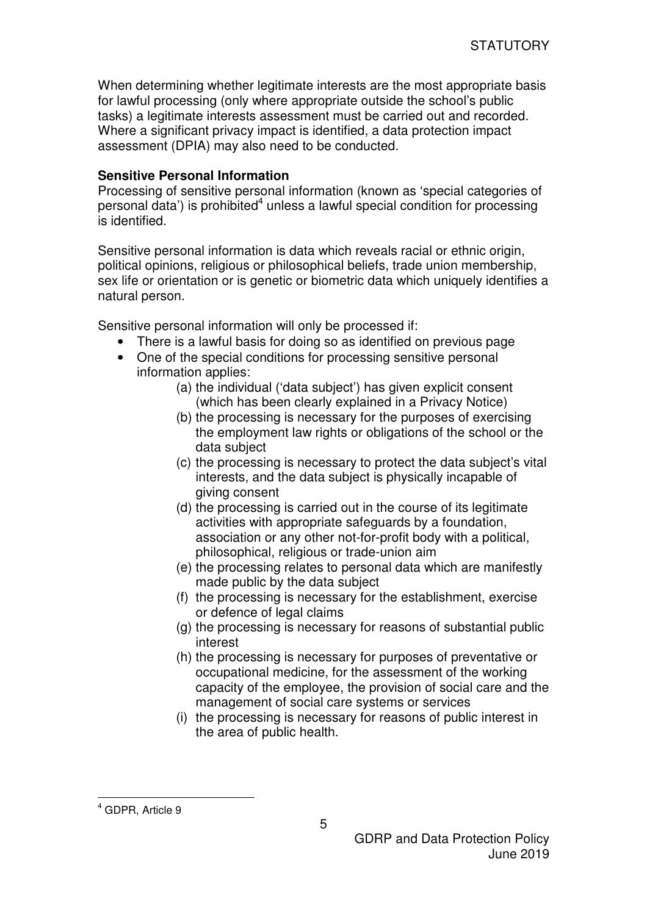When determining whether legitimate interests are the most appropriate basis for lawful processing (only where appropriate outside the school's public tasks) a legitimate interests assessment must be carried out and recorded. Where a significant privacy impact is identified, a data protection impact assessment (DPIA) may also need to be conducted.

# **Sensitive Personal Information**

Processing of sensitive personal information (known as 'special categories of personal data') is prohibited<sup>4</sup> unless a lawful special condition for processing is identified.

Sensitive personal information is data which reveals racial or ethnic origin, political opinions, religious or philosophical beliefs, trade union membership, sex life or orientation or is genetic or biometric data which uniquely identifies a natural person.

Sensitive personal information will only be processed if:

- There is a lawful basis for doing so as identified on previous page
- One of the special conditions for processing sensitive personal information applies:
	- (a) the individual ('data subject') has given explicit consent (which has been clearly explained in a Privacy Notice)
	- (b) the processing is necessary for the purposes of exercising the employment law rights or obligations of the school or the data subject
	- (c) the processing is necessary to protect the data subject's vital interests, and the data subject is physically incapable of giving consent
	- (d) the processing is carried out in the course of its legitimate activities with appropriate safeguards by a foundation, association or any other not-for-profit body with a political, philosophical, religious or trade-union aim
	- (e) the processing relates to personal data which are manifestly made public by the data subject
	- (f) the processing is necessary for the establishment, exercise or defence of legal claims
	- (g) the processing is necessary for reasons of substantial public interest
	- (h) the processing is necessary for purposes of preventative or occupational medicine, for the assessment of the working capacity of the employee, the provision of social care and the management of social care systems or services
	- (i) the processing is necessary for reasons of public interest in the area of public health.

 $\overline{a}$ 

<sup>4</sup> GDPR, Article 9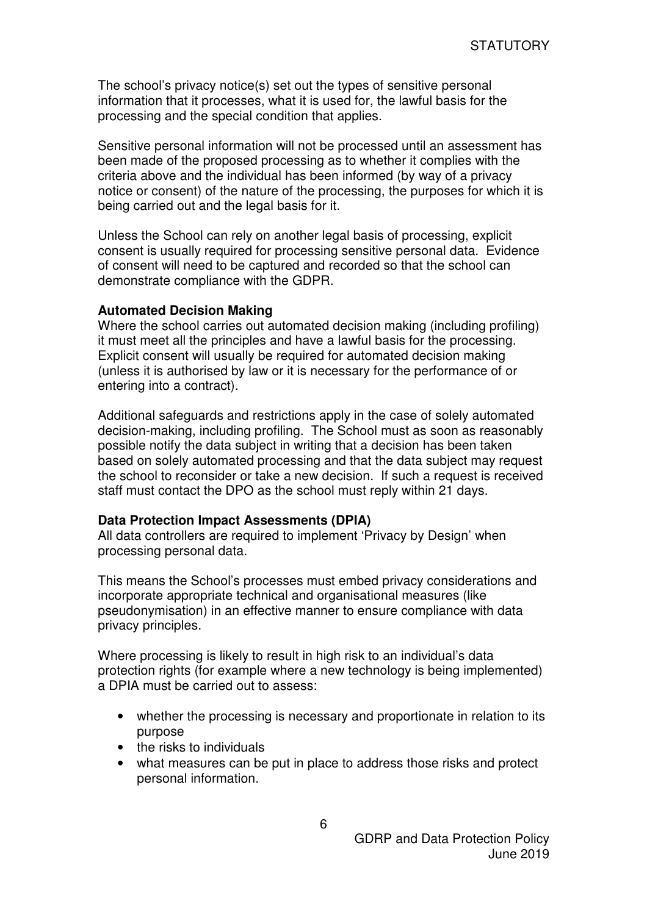The school's privacy notice(s) set out the types of sensitive personal information that it processes, what it is used for, the lawful basis for the processing and the special condition that applies.

Sensitive personal information will not be processed until an assessment has been made of the proposed processing as to whether it complies with the criteria above and the individual has been informed (by way of a privacy notice or consent) of the nature of the processing, the purposes for which it is being carried out and the legal basis for it.

Unless the School can rely on another legal basis of processing, explicit consent is usually required for processing sensitive personal data. Evidence of consent will need to be captured and recorded so that the school can demonstrate compliance with the GDPR.

#### **Automated Decision Making**

Where the school carries out automated decision making (including profiling) it must meet all the principles and have a lawful basis for the processing. Explicit consent will usually be required for automated decision making (unless it is authorised by law or it is necessary for the performance of or entering into a contract).

Additional safeguards and restrictions apply in the case of solely automated decision-making, including profiling. The School must as soon as reasonably possible notify the data subject in writing that a decision has been taken based on solely automated processing and that the data subject may request the school to reconsider or take a new decision. If such a request is received staff must contact the DPO as the school must reply within 21 days.

#### **Data Protection Impact Assessments (DPIA)**

All data controllers are required to implement 'Privacy by Design' when processing personal data.

This means the School's processes must embed privacy considerations and incorporate appropriate technical and organisational measures (like pseudonymisation) in an effective manner to ensure compliance with data privacy principles.

Where processing is likely to result in high risk to an individual's data protection rights (for example where a new technology is being implemented) a DPIA must be carried out to assess:

- whether the processing is necessary and proportionate in relation to its purpose
- the risks to individuals
- what measures can be put in place to address those risks and protect personal information.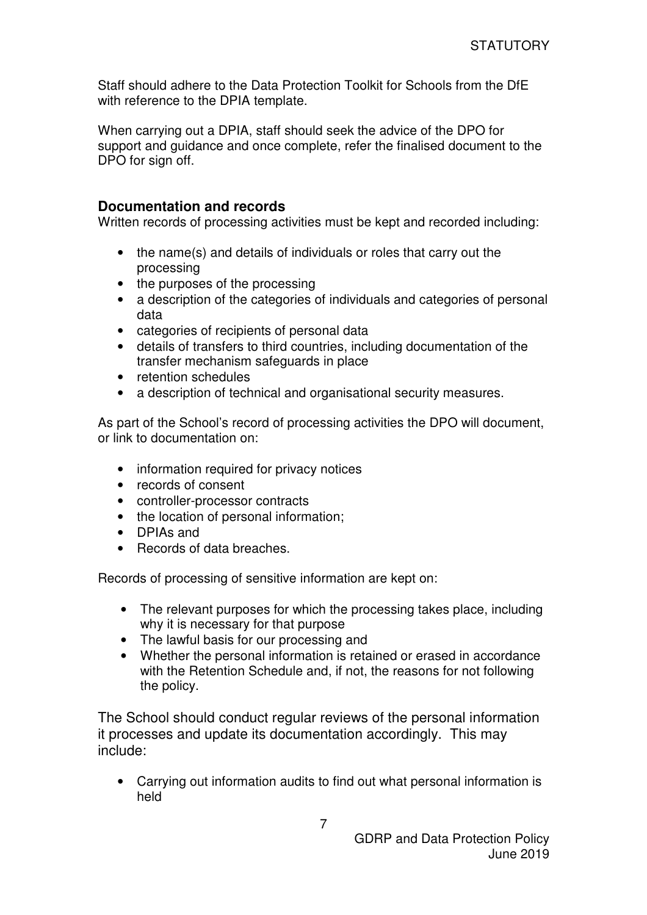Staff should adhere to the Data Protection Toolkit for Schools from the DfE with reference to the DPIA template.

When carrying out a DPIA, staff should seek the advice of the DPO for support and guidance and once complete, refer the finalised document to the DPO for sign off.

# **Documentation and records**

Written records of processing activities must be kept and recorded including:

- the name(s) and details of individuals or roles that carry out the processing
- the purposes of the processing
- a description of the categories of individuals and categories of personal data
- categories of recipients of personal data
- details of transfers to third countries, including documentation of the transfer mechanism safeguards in place
- retention schedules
- a description of technical and organisational security measures.

As part of the School's record of processing activities the DPO will document, or link to documentation on:

- information required for privacy notices
- records of consent
- controller-processor contracts
- the location of personal information;
- DPIAs and
- Records of data breaches.

Records of processing of sensitive information are kept on:

- The relevant purposes for which the processing takes place, including why it is necessary for that purpose
- The lawful basis for our processing and
- Whether the personal information is retained or erased in accordance with the Retention Schedule and, if not, the reasons for not following the policy.

The School should conduct regular reviews of the personal information it processes and update its documentation accordingly. This may include:

• Carrying out information audits to find out what personal information is held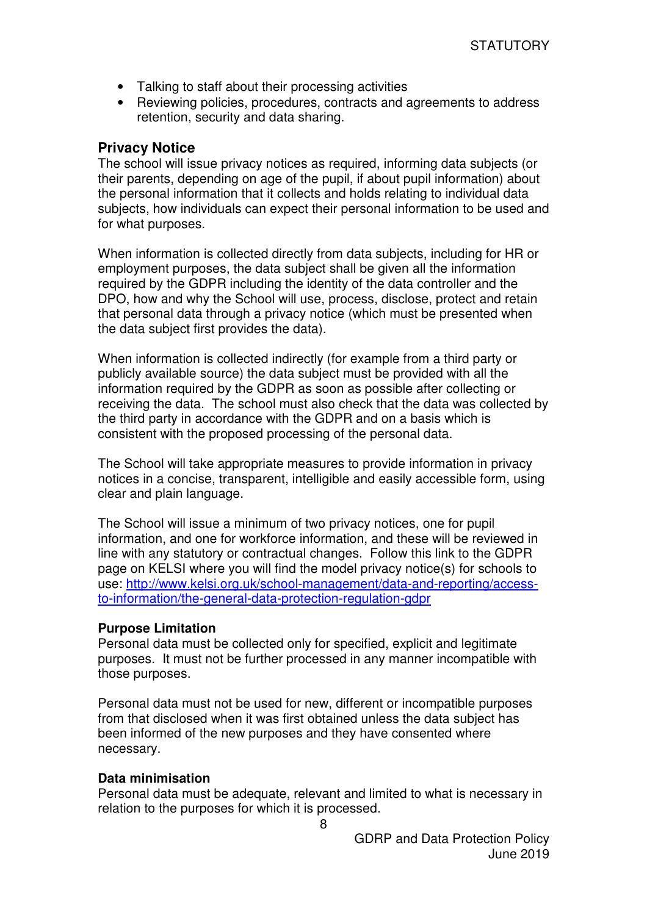- Talking to staff about their processing activities
- Reviewing policies, procedures, contracts and agreements to address retention, security and data sharing.

# **Privacy Notice**

The school will issue privacy notices as required, informing data subjects (or their parents, depending on age of the pupil, if about pupil information) about the personal information that it collects and holds relating to individual data subjects, how individuals can expect their personal information to be used and for what purposes.

When information is collected directly from data subjects, including for HR or employment purposes, the data subject shall be given all the information required by the GDPR including the identity of the data controller and the DPO, how and why the School will use, process, disclose, protect and retain that personal data through a privacy notice (which must be presented when the data subject first provides the data).

When information is collected indirectly (for example from a third party or publicly available source) the data subject must be provided with all the information required by the GDPR as soon as possible after collecting or receiving the data. The school must also check that the data was collected by the third party in accordance with the GDPR and on a basis which is consistent with the proposed processing of the personal data.

The School will take appropriate measures to provide information in privacy notices in a concise, transparent, intelligible and easily accessible form, using clear and plain language.

The School will issue a minimum of two privacy notices, one for pupil information, and one for workforce information, and these will be reviewed in line with any statutory or contractual changes. Follow this link to the GDPR page on KELSI where you will find the model privacy notice(s) for schools to use: http://www.kelsi.org.uk/school-management/data-and-reporting/accessto-information/the-general-data-protection-regulation-gdpr

#### **Purpose Limitation**

Personal data must be collected only for specified, explicit and legitimate purposes. It must not be further processed in any manner incompatible with those purposes.

Personal data must not be used for new, different or incompatible purposes from that disclosed when it was first obtained unless the data subject has been informed of the new purposes and they have consented where necessary.

#### **Data minimisation**

Personal data must be adequate, relevant and limited to what is necessary in relation to the purposes for which it is processed.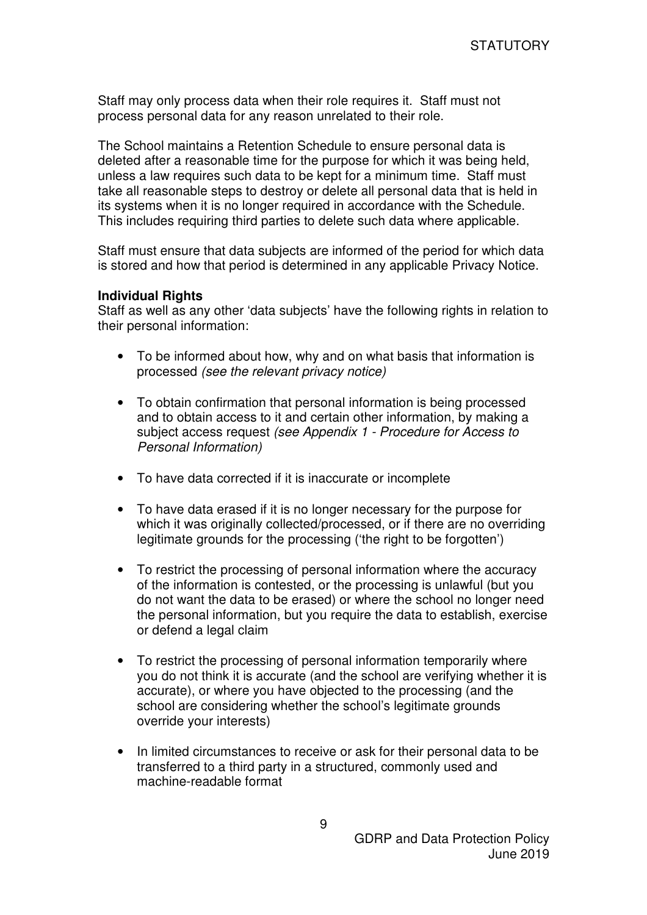Staff may only process data when their role requires it. Staff must not process personal data for any reason unrelated to their role.

The School maintains a Retention Schedule to ensure personal data is deleted after a reasonable time for the purpose for which it was being held, unless a law requires such data to be kept for a minimum time. Staff must take all reasonable steps to destroy or delete all personal data that is held in its systems when it is no longer required in accordance with the Schedule. This includes requiring third parties to delete such data where applicable.

Staff must ensure that data subjects are informed of the period for which data is stored and how that period is determined in any applicable Privacy Notice.

### **Individual Rights**

Staff as well as any other 'data subjects' have the following rights in relation to their personal information:

- To be informed about how, why and on what basis that information is processed (see the relevant privacy notice)
- To obtain confirmation that personal information is being processed and to obtain access to it and certain other information, by making a subject access request (see Appendix 1 - Procedure for Access to Personal Information)
- To have data corrected if it is inaccurate or incomplete
- To have data erased if it is no longer necessary for the purpose for which it was originally collected/processed, or if there are no overriding legitimate grounds for the processing ('the right to be forgotten')
- To restrict the processing of personal information where the accuracy of the information is contested, or the processing is unlawful (but you do not want the data to be erased) or where the school no longer need the personal information, but you require the data to establish, exercise or defend a legal claim
- To restrict the processing of personal information temporarily where you do not think it is accurate (and the school are verifying whether it is accurate), or where you have objected to the processing (and the school are considering whether the school's legitimate grounds override your interests)
- In limited circumstances to receive or ask for their personal data to be transferred to a third party in a structured, commonly used and machine-readable format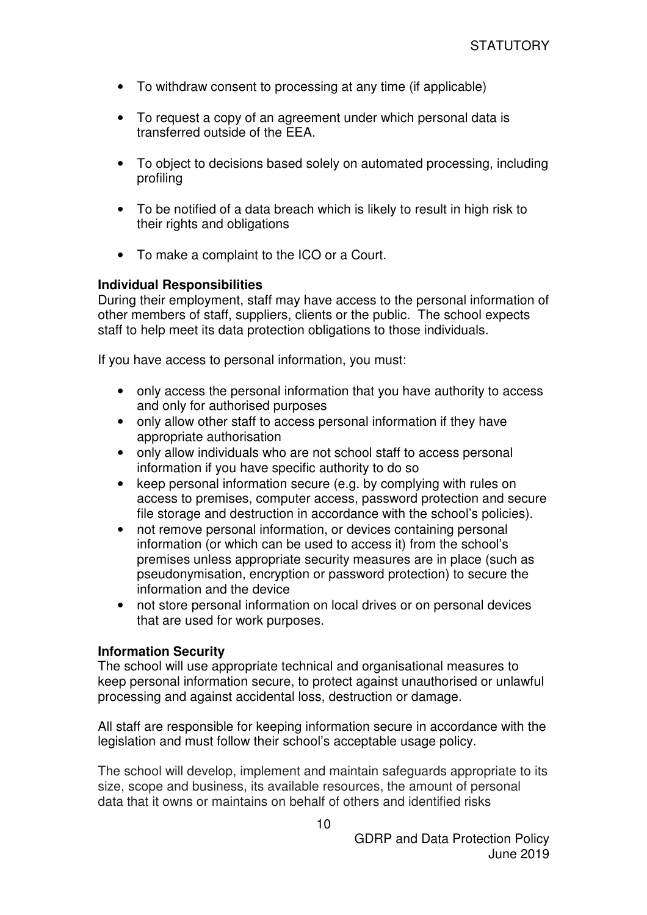- To withdraw consent to processing at any time (if applicable)
- To request a copy of an agreement under which personal data is transferred outside of the EEA.
- To object to decisions based solely on automated processing, including profiling
- To be notified of a data breach which is likely to result in high risk to their rights and obligations
- To make a complaint to the ICO or a Court.

# **Individual Responsibilities**

During their employment, staff may have access to the personal information of other members of staff, suppliers, clients or the public. The school expects staff to help meet its data protection obligations to those individuals.

If you have access to personal information, you must:

- only access the personal information that you have authority to access and only for authorised purposes
- only allow other staff to access personal information if they have appropriate authorisation
- only allow individuals who are not school staff to access personal information if you have specific authority to do so
- keep personal information secure (e.g. by complying with rules on access to premises, computer access, password protection and secure file storage and destruction in accordance with the school's policies).
- not remove personal information, or devices containing personal information (or which can be used to access it) from the school's premises unless appropriate security measures are in place (such as pseudonymisation, encryption or password protection) to secure the information and the device
- not store personal information on local drives or on personal devices that are used for work purposes.

# **Information Security**

The school will use appropriate technical and organisational measures to keep personal information secure, to protect against unauthorised or unlawful processing and against accidental loss, destruction or damage.

All staff are responsible for keeping information secure in accordance with the legislation and must follow their school's acceptable usage policy.

The school will develop, implement and maintain safeguards appropriate to its size, scope and business, its available resources, the amount of personal data that it owns or maintains on behalf of others and identified risks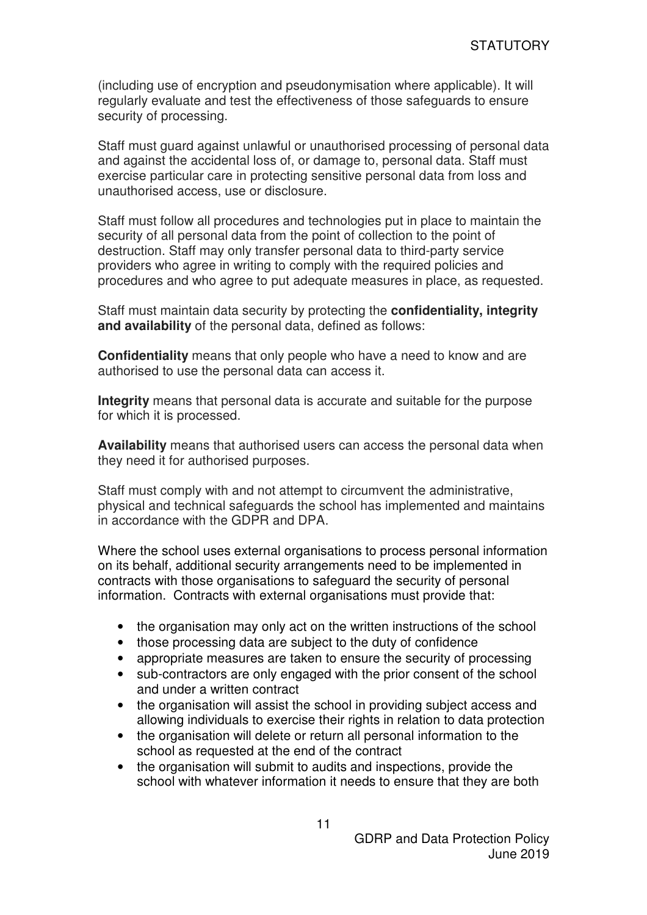(including use of encryption and pseudonymisation where applicable). It will regularly evaluate and test the effectiveness of those safeguards to ensure security of processing.

Staff must guard against unlawful or unauthorised processing of personal data and against the accidental loss of, or damage to, personal data. Staff must exercise particular care in protecting sensitive personal data from loss and unauthorised access, use or disclosure.

Staff must follow all procedures and technologies put in place to maintain the security of all personal data from the point of collection to the point of destruction. Staff may only transfer personal data to third-party service providers who agree in writing to comply with the required policies and procedures and who agree to put adequate measures in place, as requested.

Staff must maintain data security by protecting the **confidentiality, integrity and availability** of the personal data, defined as follows:

**Confidentiality** means that only people who have a need to know and are authorised to use the personal data can access it.

**Integrity** means that personal data is accurate and suitable for the purpose for which it is processed.

**Availability** means that authorised users can access the personal data when they need it for authorised purposes.

Staff must comply with and not attempt to circumvent the administrative, physical and technical safeguards the school has implemented and maintains in accordance with the GDPR and DPA.

Where the school uses external organisations to process personal information on its behalf, additional security arrangements need to be implemented in contracts with those organisations to safeguard the security of personal information. Contracts with external organisations must provide that:

- the organisation may only act on the written instructions of the school
- those processing data are subject to the duty of confidence
- appropriate measures are taken to ensure the security of processing
- sub-contractors are only engaged with the prior consent of the school and under a written contract
- the organisation will assist the school in providing subject access and allowing individuals to exercise their rights in relation to data protection
- the organisation will delete or return all personal information to the school as requested at the end of the contract
- the organisation will submit to audits and inspections, provide the school with whatever information it needs to ensure that they are both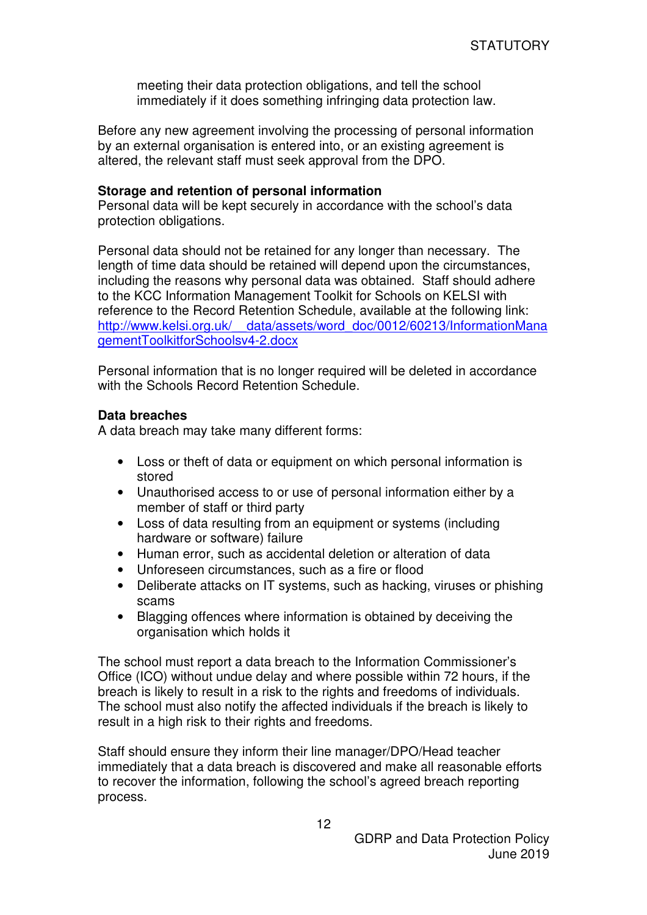meeting their data protection obligations, and tell the school immediately if it does something infringing data protection law.

Before any new agreement involving the processing of personal information by an external organisation is entered into, or an existing agreement is altered, the relevant staff must seek approval from the DPO.

#### **Storage and retention of personal information**

Personal data will be kept securely in accordance with the school's data protection obligations.

Personal data should not be retained for any longer than necessary. The length of time data should be retained will depend upon the circumstances, including the reasons why personal data was obtained. Staff should adhere to the KCC Information Management Toolkit for Schools on KELSI with reference to the Record Retention Schedule, available at the following link: http://www.kelsi.org.uk/\_\_data/assets/word\_doc/0012/60213/InformationMana gementToolkitforSchoolsv4-2.docx

Personal information that is no longer required will be deleted in accordance with the Schools Record Retention Schedule.

#### **Data breaches**

A data breach may take many different forms:

- Loss or theft of data or equipment on which personal information is stored
- Unauthorised access to or use of personal information either by a member of staff or third party
- Loss of data resulting from an equipment or systems (including hardware or software) failure
- Human error, such as accidental deletion or alteration of data
- Unforeseen circumstances, such as a fire or flood
- Deliberate attacks on IT systems, such as hacking, viruses or phishing scams
- Blagging offences where information is obtained by deceiving the organisation which holds it

The school must report a data breach to the Information Commissioner's Office (ICO) without undue delay and where possible within 72 hours, if the breach is likely to result in a risk to the rights and freedoms of individuals. The school must also notify the affected individuals if the breach is likely to result in a high risk to their rights and freedoms.

Staff should ensure they inform their line manager/DPO/Head teacher immediately that a data breach is discovered and make all reasonable efforts to recover the information, following the school's agreed breach reporting process.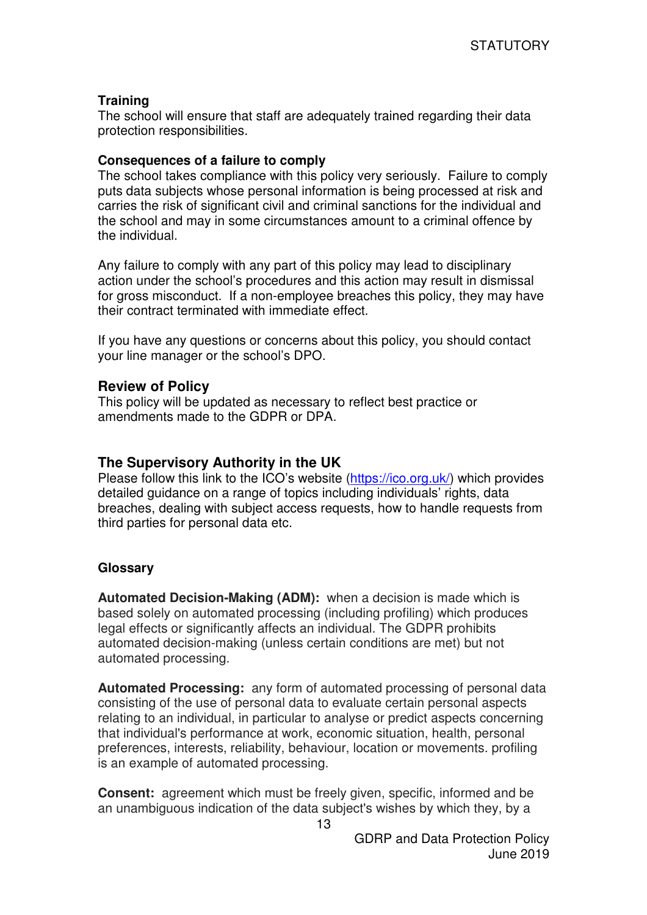# **Training**

The school will ensure that staff are adequately trained regarding their data protection responsibilities.

# **Consequences of a failure to comply**

The school takes compliance with this policy very seriously. Failure to comply puts data subjects whose personal information is being processed at risk and carries the risk of significant civil and criminal sanctions for the individual and the school and may in some circumstances amount to a criminal offence by the individual.

Any failure to comply with any part of this policy may lead to disciplinary action under the school's procedures and this action may result in dismissal for gross misconduct. If a non-employee breaches this policy, they may have their contract terminated with immediate effect.

If you have any questions or concerns about this policy, you should contact your line manager or the school's DPO.

# **Review of Policy**

This policy will be updated as necessary to reflect best practice or amendments made to the GDPR or DPA.

# **The Supervisory Authority in the UK**

Please follow this link to the ICO's website (https://ico.org.uk/) which provides detailed guidance on a range of topics including individuals' rights, data breaches, dealing with subject access requests, how to handle requests from third parties for personal data etc.

# **Glossary**

**Automated Decision-Making (ADM):** when a decision is made which is based solely on automated processing (including profiling) which produces legal effects or significantly affects an individual. The GDPR prohibits automated decision-making (unless certain conditions are met) but not automated processing.

**Automated Processing:** any form of automated processing of personal data consisting of the use of personal data to evaluate certain personal aspects relating to an individual, in particular to analyse or predict aspects concerning that individual's performance at work, economic situation, health, personal preferences, interests, reliability, behaviour, location or movements. profiling is an example of automated processing.

**Consent:** agreement which must be freely given, specific, informed and be an unambiguous indication of the data subject's wishes by which they, by a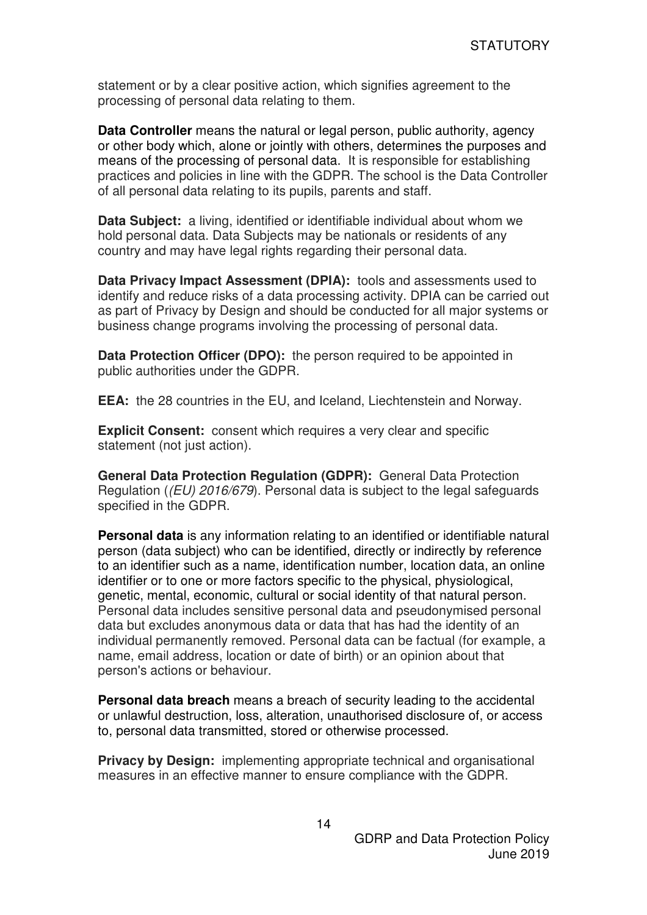statement or by a clear positive action, which signifies agreement to the processing of personal data relating to them.

**Data Controller** means the natural or legal person, public authority, agency or other body which, alone or jointly with others, determines the purposes and means of the processing of personal data. It is responsible for establishing practices and policies in line with the GDPR. The school is the Data Controller of all personal data relating to its pupils, parents and staff.

**Data Subject:** a living, identified or identifiable individual about whom we hold personal data. Data Subjects may be nationals or residents of any country and may have legal rights regarding their personal data.

**Data Privacy Impact Assessment (DPIA):** tools and assessments used to identify and reduce risks of a data processing activity. DPIA can be carried out as part of Privacy by Design and should be conducted for all major systems or business change programs involving the processing of personal data.

**Data Protection Officer (DPO):** the person required to be appointed in public authorities under the GDPR.

**EEA:** the 28 countries in the EU, and Iceland, Liechtenstein and Norway.

**Explicit Consent:** consent which requires a very clear and specific statement (not just action).

**General Data Protection Regulation (GDPR):** General Data Protection Regulation ((EU) 2016/679). Personal data is subject to the legal safeguards specified in the GDPR.

**Personal data** is any information relating to an identified or identifiable natural person (data subject) who can be identified, directly or indirectly by reference to an identifier such as a name, identification number, location data, an online identifier or to one or more factors specific to the physical, physiological, genetic, mental, economic, cultural or social identity of that natural person. Personal data includes sensitive personal data and pseudonymised personal data but excludes anonymous data or data that has had the identity of an individual permanently removed. Personal data can be factual (for example, a name, email address, location or date of birth) or an opinion about that person's actions or behaviour.

**Personal data breach** means a breach of security leading to the accidental or unlawful destruction, loss, alteration, unauthorised disclosure of, or access to, personal data transmitted, stored or otherwise processed.

**Privacy by Design:** implementing appropriate technical and organisational measures in an effective manner to ensure compliance with the GDPR.